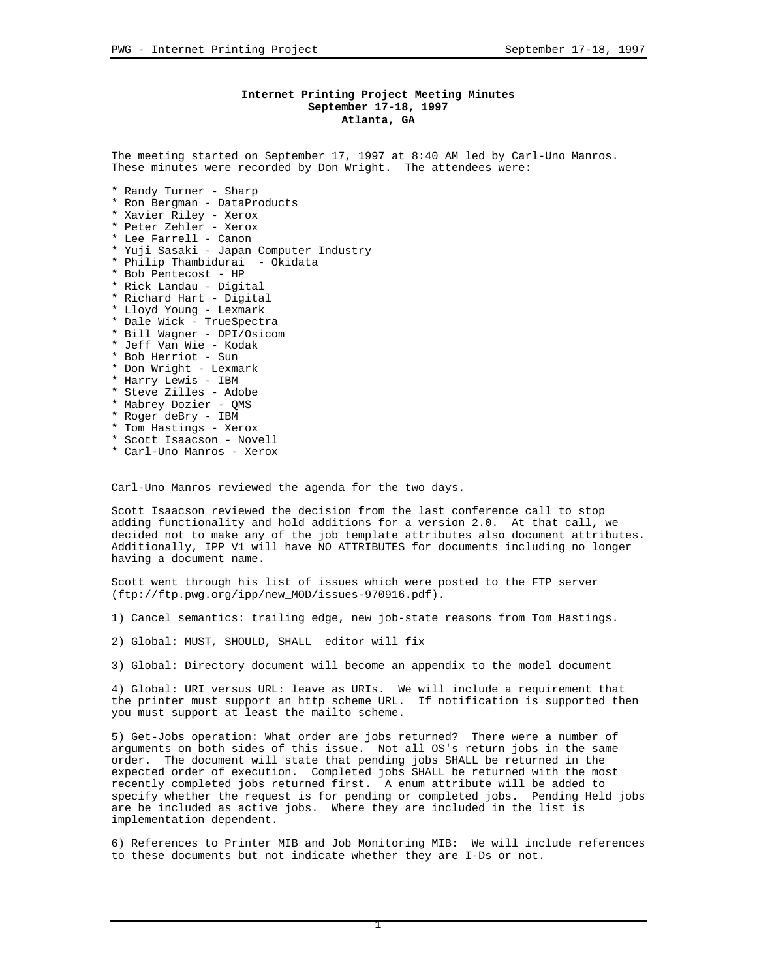# **Internet Printing Project Meeting Minutes September 17-18, 1997 Atlanta, GA**

The meeting started on September 17, 1997 at 8:40 AM led by Carl-Uno Manros. These minutes were recorded by Don Wright. The attendees were:

- \* Randy Turner Sharp
- \* Ron Bergman DataProducts
- \* Xavier Riley Xerox
- \* Peter Zehler Xerox
- \* Lee Farrell Canon
- \* Yuji Sasaki Japan Computer Industry
- \* Philip Thambidurai Okidata
- \* Bob Pentecost HP
- \* Rick Landau Digital
- \* Richard Hart Digital
- \* Lloyd Young Lexmark
- \* Dale Wick TrueSpectra \* Bill Wagner - DPI/Osicom
- \* Jeff Van Wie Kodak
- \* Bob Herriot Sun
- \* Don Wright Lexmark
- 
- \* Harry Lewis IBM
- \* Steve Zilles Adobe
- \* Mabrey Dozier QMS
- \* Roger deBry IBM
- \* Tom Hastings Xerox
- \* Scott Isaacson Novell
- \* Carl-Uno Manros Xerox

Carl-Uno Manros reviewed the agenda for the two days.

Scott Isaacson reviewed the decision from the last conference call to stop adding functionality and hold additions for a version 2.0. At that call, we decided not to make any of the job template attributes also document attributes. Additionally, IPP V1 will have NO ATTRIBUTES for documents including no longer having a document name.

Scott went through his list of issues which were posted to the FTP server (ftp://ftp.pwg.org/ipp/new\_MOD/issues-970916.pdf).

1) Cancel semantics: trailing edge, new job-state reasons from Tom Hastings.

2) Global: MUST, SHOULD, SHALL editor will fix

3) Global: Directory document will become an appendix to the model document

4) Global: URI versus URL: leave as URIs. We will include a requirement that the printer must support an http scheme URL. If notification is supported then you must support at least the mailto scheme.

5) Get-Jobs operation: What order are jobs returned? There were a number of arguments on both sides of this issue. Not all OS's return jobs in the same order. The document will state that pending jobs SHALL be returned in the expected order of execution. Completed jobs SHALL be returned with the most recently completed jobs returned first. A enum attribute will be added to specify whether the request is for pending or completed jobs. Pending Held jobs are be included as active jobs. Where they are included in the list is implementation dependent.

6) References to Printer MIB and Job Monitoring MIB: We will include references to these documents but not indicate whether they are I-Ds or not.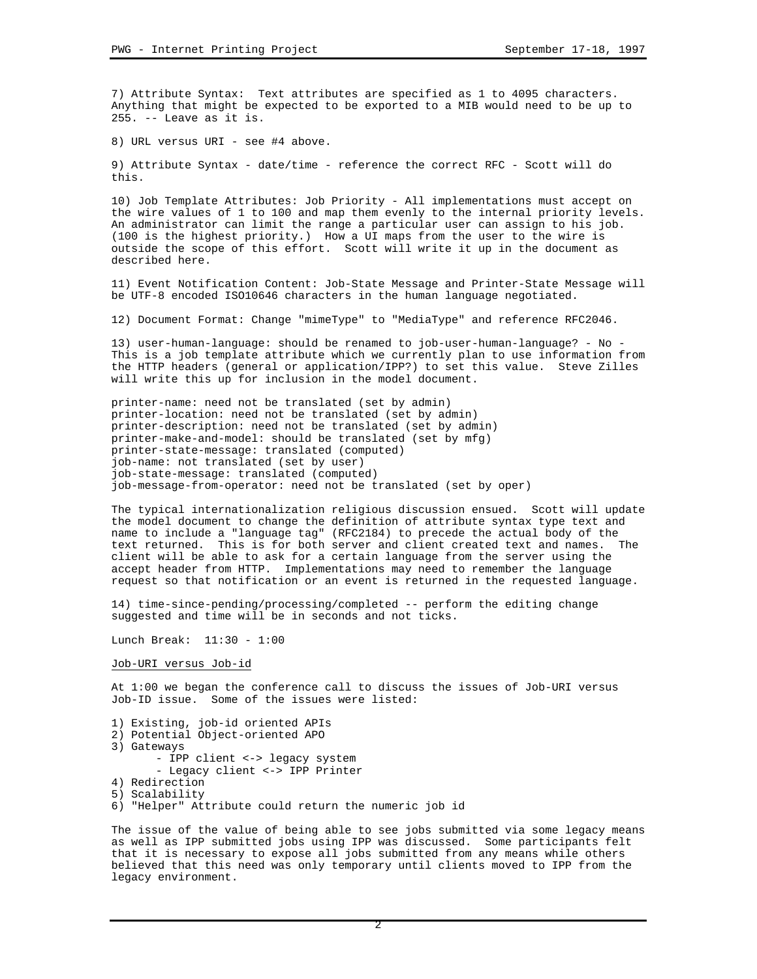7) Attribute Syntax: Text attributes are specified as 1 to 4095 characters. Anything that might be expected to be exported to a MIB would need to be up to 255. -- Leave as it is.

8) URL versus URI - see #4 above.

9) Attribute Syntax - date/time - reference the correct RFC - Scott will do this.

10) Job Template Attributes: Job Priority - All implementations must accept on the wire values of 1 to 100 and map them evenly to the internal priority levels. An administrator can limit the range a particular user can assign to his job. (100 is the highest priority.) How a UI maps from the user to the wire is outside the scope of this effort. Scott will write it up in the document as described here.

11) Event Notification Content: Job-State Message and Printer-State Message will be UTF-8 encoded ISO10646 characters in the human language negotiated.

12) Document Format: Change "mimeType" to "MediaType" and reference RFC2046.

13) user-human-language: should be renamed to job-user-human-language? - No - This is a job template attribute which we currently plan to use information from the HTTP headers (general or application/IPP?) to set this value. Steve Zilles will write this up for inclusion in the model document.

printer-name: need not be translated (set by admin) printer-location: need not be translated (set by admin) printer-description: need not be translated (set by admin) printer-make-and-model: should be translated (set by mfg) printer-state-message: translated (computed) job-name: not translated (set by user) job-state-message: translated (computed) job-message-from-operator: need not be translated (set by oper)

The typical internationalization religious discussion ensued. Scott will update the model document to change the definition of attribute syntax type text and name to include a "language tag" (RFC2184) to precede the actual body of the text returned. This is for both server and client created text and names. The client will be able to ask for a certain language from the server using the accept header from HTTP. Implementations may need to remember the language request so that notification or an event is returned in the requested language.

14) time-since-pending/processing/completed -- perform the editing change suggested and time will be in seconds and not ticks.

Lunch Break: 11:30 - 1:00

Job-URI versus Job-id

At 1:00 we began the conference call to discuss the issues of Job-URI versus Job-ID issue. Some of the issues were listed:

1) Existing, job-id oriented APIs 2) Potential Object-oriented APO 3) Gateways - IPP client <-> legacy system - Legacy client <-> IPP Printer 4) Redirection 5) Scalability 6) "Helper" Attribute could return the numeric job id

The issue of the value of being able to see jobs submitted via some legacy means as well as IPP submitted jobs using IPP was discussed. Some participants felt that it is necessary to expose all jobs submitted from any means while others believed that this need was only temporary until clients moved to IPP from the legacy environment.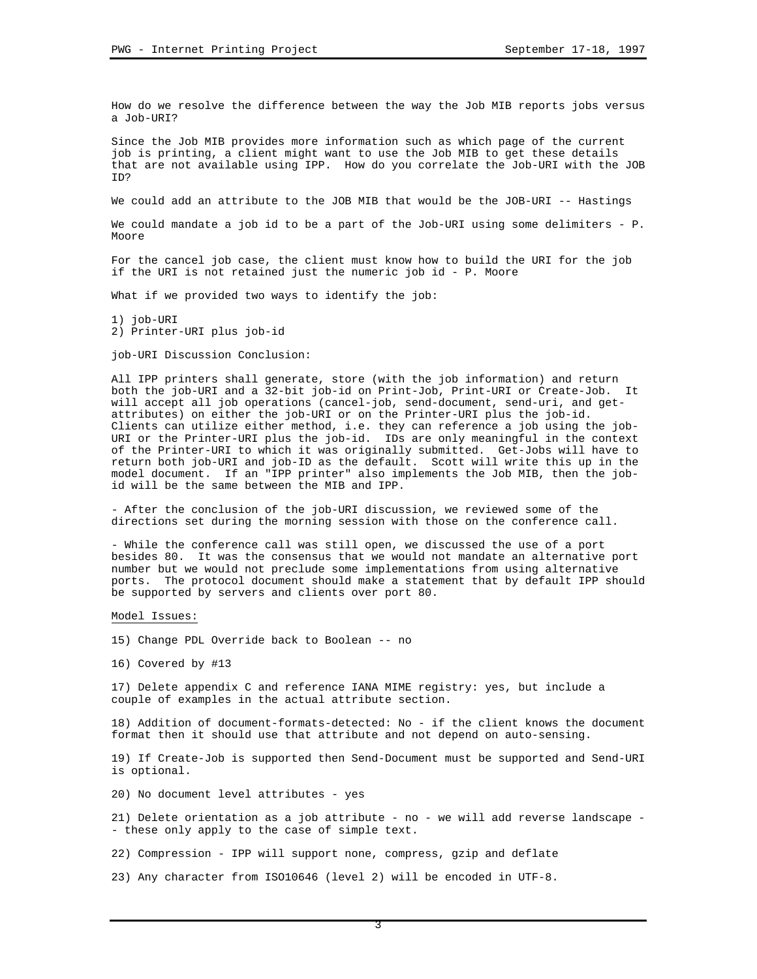How do we resolve the difference between the way the Job MIB reports jobs versus a Job-URI?

Since the Job MIB provides more information such as which page of the current job is printing, a client might want to use the Job MIB to get these details that are not available using IPP. How do you correlate the Job-URI with the JOB ID?

We could add an attribute to the JOB MIB that would be the JOB-URI -- Hastings

We could mandate a job id to be a part of the Job-URI using some delimiters - P. Moore

For the cancel job case, the client must know how to build the URI for the job if the URI is not retained just the numeric job id - P. Moore

What if we provided two ways to identify the job:

1) job-URI 2) Printer-URI plus job-id

job-URI Discussion Conclusion:

All IPP printers shall generate, store (with the job information) and return both the job-URI and a 32-bit job-id on Print-Job, Print-URI or Create-Job. It will accept all job operations (cancel-job, send-document, send-uri, and getattributes) on either the job-URI or on the Printer-URI plus the job-id. Clients can utilize either method, i.e. they can reference a job using the job-URI or the Printer-URI plus the job-id. IDs are only meaningful in the context of the Printer-URI to which it was originally submitted. Get-Jobs will have to return both job-URI and job-ID as the default. Scott will write this up in the model document. If an "IPP printer" also implements the Job MIB, then the jobid will be the same between the MIB and IPP.

- After the conclusion of the job-URI discussion, we reviewed some of the directions set during the morning session with those on the conference call.

- While the conference call was still open, we discussed the use of a port besides 80. It was the consensus that we would not mandate an alternative port number but we would not preclude some implementations from using alternative ports. The protocol document should make a statement that by default IPP should be supported by servers and clients over port 80.

Model Issues:

- 15) Change PDL Override back to Boolean -- no
- 16) Covered by #13

17) Delete appendix C and reference IANA MIME registry: yes, but include a couple of examples in the actual attribute section.

18) Addition of document-formats-detected: No - if the client knows the document format then it should use that attribute and not depend on auto-sensing.

19) If Create-Job is supported then Send-Document must be supported and Send-URI is optional.

20) No document level attributes - yes

21) Delete orientation as a job attribute - no - we will add reverse landscape - - these only apply to the case of simple text.

22) Compression - IPP will support none, compress, gzip and deflate

23) Any character from ISO10646 (level 2) will be encoded in UTF-8.

3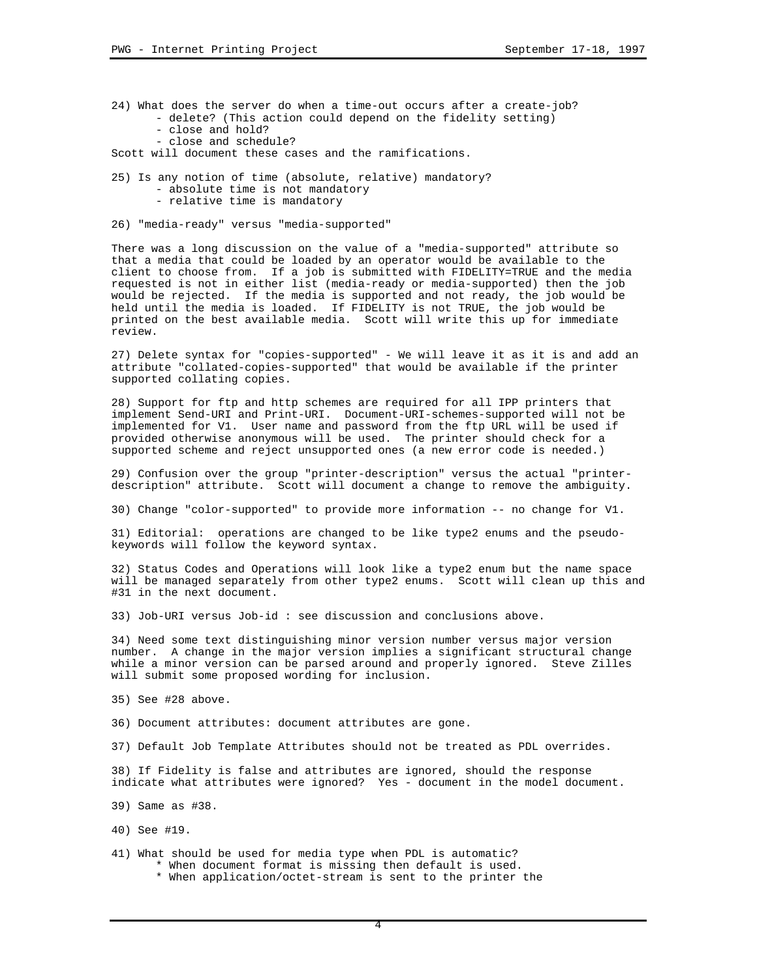- 24) What does the server do when a time-out occurs after a create-job? - delete? (This action could depend on the fidelity setting) - close and hold?
	- close and schedule?

Scott will document these cases and the ramifications.

- 25) Is any notion of time (absolute, relative) mandatory? - absolute time is not mandatory
	- relative time is mandatory
- 26) "media-ready" versus "media-supported"

There was a long discussion on the value of a "media-supported" attribute so that a media that could be loaded by an operator would be available to the client to choose from. If a job is submitted with FIDELITY=TRUE and the media requested is not in either list (media-ready or media-supported) then the job would be rejected. If the media is supported and not ready, the job would be held until the media is loaded. If FIDELITY is not TRUE, the job would be printed on the best available media. Scott will write this up for immediate review.

27) Delete syntax for "copies-supported" - We will leave it as it is and add an attribute "collated-copies-supported" that would be available if the printer supported collating copies.

28) Support for ftp and http schemes are required for all IPP printers that implement Send-URI and Print-URI. Document-URI-schemes-supported will not be implemented for V1. User name and password from the ftp URL will be used if provided otherwise anonymous will be used. The printer should check for a supported scheme and reject unsupported ones (a new error code is needed.)

29) Confusion over the group "printer-description" versus the actual "printerdescription" attribute. Scott will document a change to remove the ambiguity.

30) Change "color-supported" to provide more information -- no change for V1.

31) Editorial: operations are changed to be like type2 enums and the pseudokeywords will follow the keyword syntax.

32) Status Codes and Operations will look like a type2 enum but the name space will be managed separately from other type2 enums. Scott will clean up this and #31 in the next document.

33) Job-URI versus Job-id : see discussion and conclusions above.

34) Need some text distinguishing minor version number versus major version number. A change in the major version implies a significant structural change while a minor version can be parsed around and properly ignored. Steve Zilles will submit some proposed wording for inclusion.

- 35) See #28 above.
- 36) Document attributes: document attributes are gone.
- 37) Default Job Template Attributes should not be treated as PDL overrides.

38) If Fidelity is false and attributes are ignored, should the response indicate what attributes were ignored? Yes - document in the model document.

39) Same as #38.

40) See #19.

- 41) What should be used for media type when PDL is automatic? \* When document format is missing then default is used.
	- \* When application/octet-stream is sent to the printer the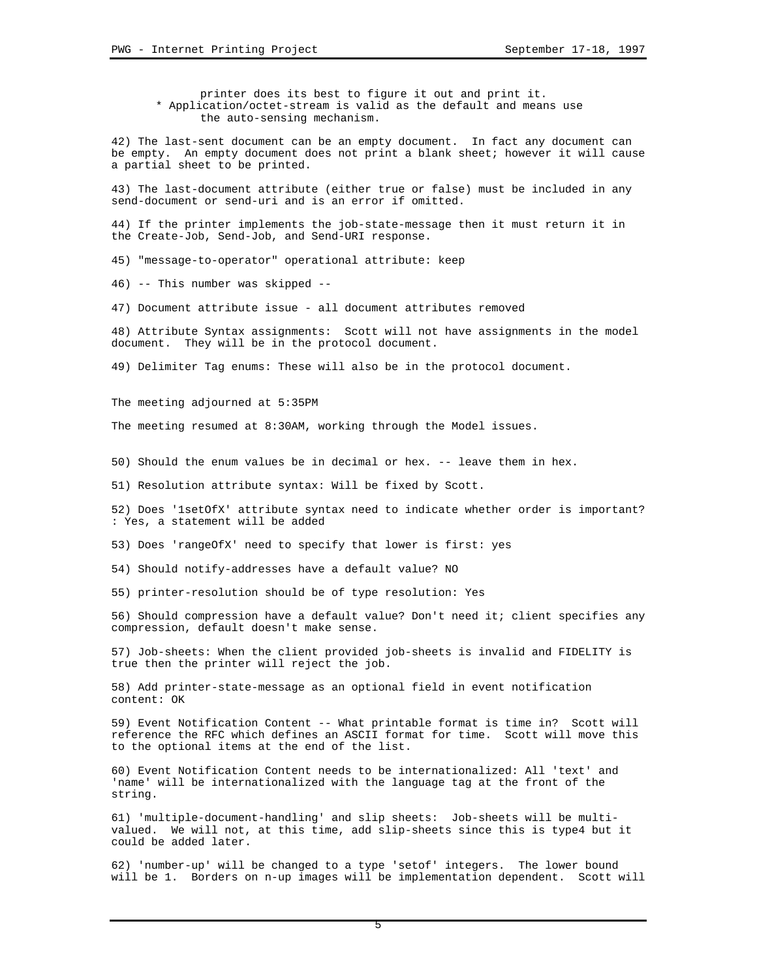printer does its best to figure it out and print it. \* Application/octet-stream is valid as the default and means use the auto-sensing mechanism.

42) The last-sent document can be an empty document. In fact any document can be empty. An empty document does not print a blank sheet; however it will cause a partial sheet to be printed.

43) The last-document attribute (either true or false) must be included in any send-document or send-uri and is an error if omitted.

44) If the printer implements the job-state-message then it must return it in the Create-Job, Send-Job, and Send-URI response.

45) "message-to-operator" operational attribute: keep

46) -- This number was skipped --

47) Document attribute issue - all document attributes removed

48) Attribute Syntax assignments: Scott will not have assignments in the model document. They will be in the protocol document.

49) Delimiter Tag enums: These will also be in the protocol document.

The meeting adjourned at 5:35PM

The meeting resumed at 8:30AM, working through the Model issues.

50) Should the enum values be in decimal or hex. -- leave them in hex.

51) Resolution attribute syntax: Will be fixed by Scott.

52) Does '1setOfX' attribute syntax need to indicate whether order is important? : Yes, a statement will be added

53) Does 'rangeOfX' need to specify that lower is first: yes

54) Should notify-addresses have a default value? NO

55) printer-resolution should be of type resolution: Yes

56) Should compression have a default value? Don't need it; client specifies any compression, default doesn't make sense.

57) Job-sheets: When the client provided job-sheets is invalid and FIDELITY is true then the printer will reject the job.

58) Add printer-state-message as an optional field in event notification content: OK

59) Event Notification Content -- What printable format is time in? Scott will reference the RFC which defines an ASCII format for time. Scott will move this to the optional items at the end of the list.

60) Event Notification Content needs to be internationalized: All 'text' and 'name' will be internationalized with the language tag at the front of the string.

61) 'multiple-document-handling' and slip sheets: Job-sheets will be multivalued. We will not, at this time, add slip-sheets since this is type4 but it could be added later.

62) 'number-up' will be changed to a type 'setof' integers. The lower bound will be 1. Borders on n-up images will be implementation dependent. Scott will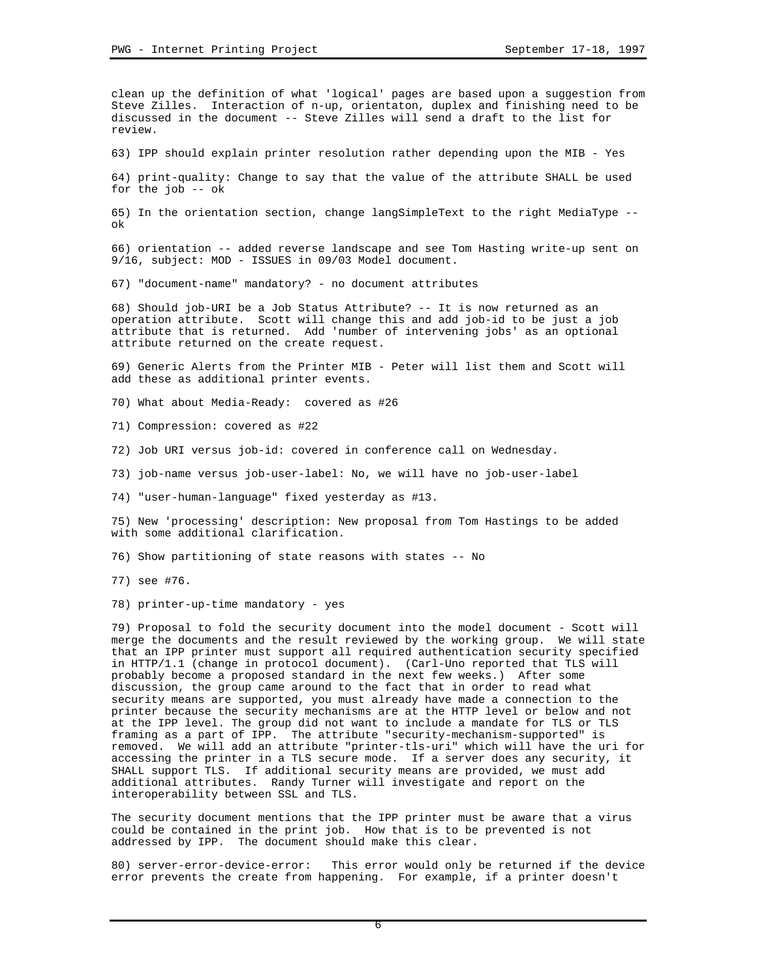clean up the definition of what 'logical' pages are based upon a suggestion from Steve Zilles. Interaction of n-up, orientaton, duplex and finishing need to be discussed in the document -- Steve Zilles will send a draft to the list for review.

63) IPP should explain printer resolution rather depending upon the MIB - Yes

64) print-quality: Change to say that the value of the attribute SHALL be used for the job -- ok

65) In the orientation section, change langSimpleText to the right MediaType - ok

66) orientation -- added reverse landscape and see Tom Hasting write-up sent on 9/16, subject: MOD - ISSUES in 09/03 Model document.

67) "document-name" mandatory? - no document attributes

68) Should job-URI be a Job Status Attribute? -- It is now returned as an operation attribute. Scott will change this and add job-id to be just a job attribute that is returned. Add 'number of intervening jobs' as an optional attribute returned on the create request.

69) Generic Alerts from the Printer MIB - Peter will list them and Scott will add these as additional printer events.

70) What about Media-Ready: covered as #26

71) Compression: covered as #22

72) Job URI versus job-id: covered in conference call on Wednesday.

73) job-name versus job-user-label: No, we will have no job-user-label

74) "user-human-language" fixed yesterday as #13.

75) New 'processing' description: New proposal from Tom Hastings to be added with some additional clarification.

76) Show partitioning of state reasons with states -- No

77) see #76.

78) printer-up-time mandatory - yes

79) Proposal to fold the security document into the model document - Scott will merge the documents and the result reviewed by the working group. We will state that an IPP printer must support all required authentication security specified in HTTP/1.1 (change in protocol document). (Carl-Uno reported that TLS will probably become a proposed standard in the next few weeks.) After some discussion, the group came around to the fact that in order to read what security means are supported, you must already have made a connection to the printer because the security mechanisms are at the HTTP level or below and not at the IPP level. The group did not want to include a mandate for TLS or TLS framing as a part of IPP. The attribute "security-mechanism-supported" is removed. We will add an attribute "printer-tls-uri" which will have the uri for accessing the printer in a TLS secure mode. If a server does any security, it SHALL support TLS. If additional security means are provided, we must add additional attributes. Randy Turner will investigate and report on the interoperability between SSL and TLS.

The security document mentions that the IPP printer must be aware that a virus could be contained in the print job. How that is to be prevented is not addressed by IPP. The document should make this clear.

80) server-error-device-error: This error would only be returned if the device error prevents the create from happening. For example, if a printer doesn't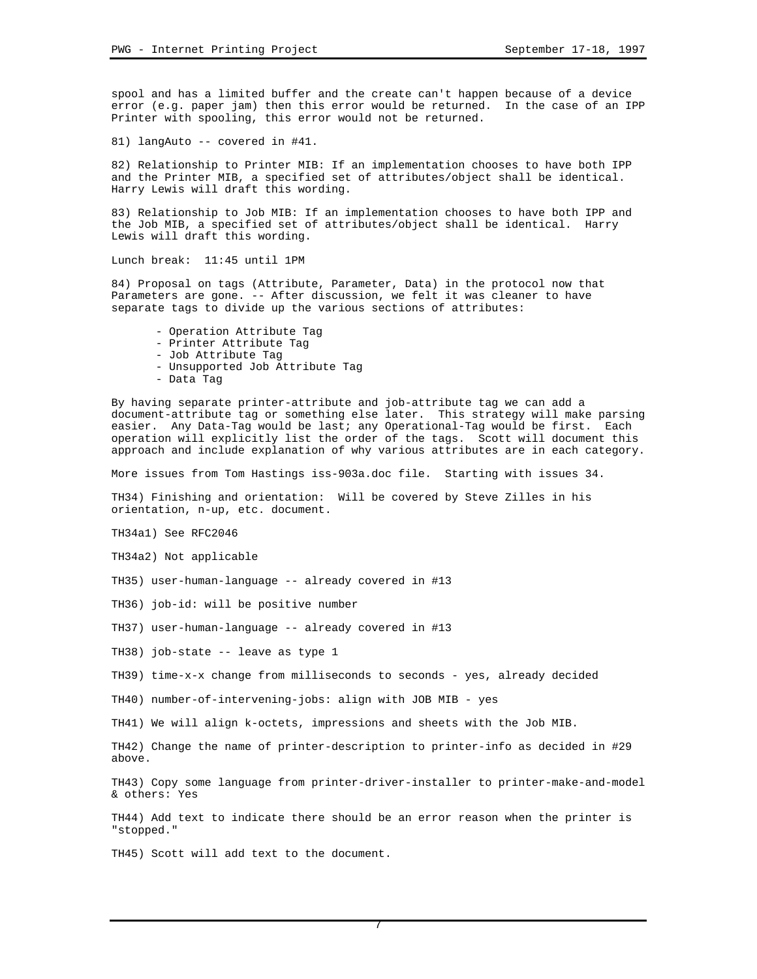spool and has a limited buffer and the create can't happen because of a device error (e.g. paper jam) then this error would be returned. In the case of an IPP Printer with spooling, this error would not be returned.

81) langAuto -- covered in #41.

82) Relationship to Printer MIB: If an implementation chooses to have both IPP and the Printer MIB, a specified set of attributes/object shall be identical. Harry Lewis will draft this wording.

83) Relationship to Job MIB: If an implementation chooses to have both IPP and the Job MIB, a specified set of attributes/object shall be identical. Harry Lewis will draft this wording.

Lunch break: 11:45 until 1PM

84) Proposal on tags (Attribute, Parameter, Data) in the protocol now that Parameters are gone. -- After discussion, we felt it was cleaner to have separate tags to divide up the various sections of attributes:

- Operation Attribute Tag
- Printer Attribute Tag
- Job Attribute Tag
- Unsupported Job Attribute Tag
- Data Tag

By having separate printer-attribute and job-attribute tag we can add a document-attribute tag or something else later. This strategy will make parsing easier. Any Data-Tag would be last; any Operational-Tag would be first. Each operation will explicitly list the order of the tags. Scott will document this approach and include explanation of why various attributes are in each category.

More issues from Tom Hastings iss-903a.doc file. Starting with issues 34.

TH34) Finishing and orientation: Will be covered by Steve Zilles in his orientation, n-up, etc. document.

TH34a1) See RFC2046

TH34a2) Not applicable

TH35) user-human-language -- already covered in #13

TH36) job-id: will be positive number

TH37) user-human-language -- already covered in #13

TH38) job-state -- leave as type 1

TH39) time-x-x change from milliseconds to seconds - yes, already decided

TH40) number-of-intervening-jobs: align with JOB MIB - yes

TH41) We will align k-octets, impressions and sheets with the Job MIB.

TH42) Change the name of printer-description to printer-info as decided in #29 above.

TH43) Copy some language from printer-driver-installer to printer-make-and-model & others: Yes

TH44) Add text to indicate there should be an error reason when the printer is "stopped."

7

TH45) Scott will add text to the document.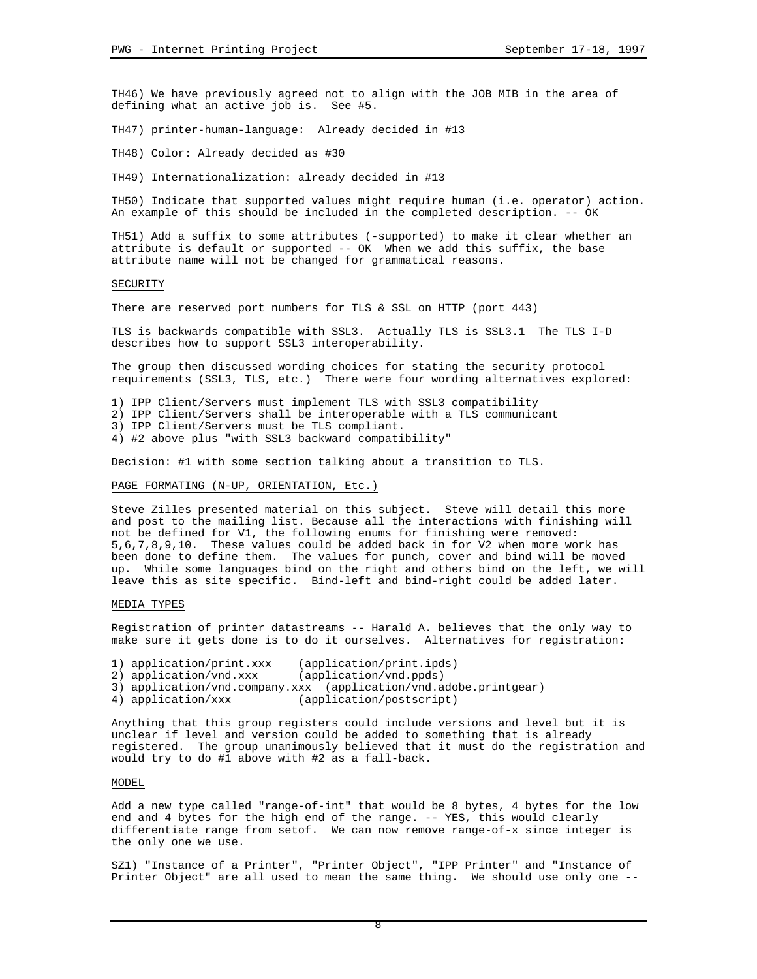TH46) We have previously agreed not to align with the JOB MIB in the area of defining what an active job is. See #5.

TH47) printer-human-language: Already decided in #13

TH48) Color: Already decided as #30

TH49) Internationalization: already decided in #13

TH50) Indicate that supported values might require human (i.e. operator) action. An example of this should be included in the completed description. -- OK

TH51) Add a suffix to some attributes (-supported) to make it clear whether an attribute is default or supported -- OK When we add this suffix, the base attribute name will not be changed for grammatical reasons.

## SECURITY

There are reserved port numbers for TLS & SSL on HTTP (port 443)

TLS is backwards compatible with SSL3. Actually TLS is SSL3.1 The TLS I-D describes how to support SSL3 interoperability.

The group then discussed wording choices for stating the security protocol requirements (SSL3, TLS, etc.) There were four wording alternatives explored:

1) IPP Client/Servers must implement TLS with SSL3 compatibility

2) IPP Client/Servers shall be interoperable with a TLS communicant

3) IPP Client/Servers must be TLS compliant.

4) #2 above plus "with SSL3 backward compatibility"

Decision: #1 with some section talking about a transition to TLS.

### PAGE FORMATING (N-UP, ORIENTATION, Etc.)

Steve Zilles presented material on this subject. Steve will detail this more and post to the mailing list. Because all the interactions with finishing will not be defined for V1, the following enums for finishing were removed: 5,6,7,8,9,10. These values could be added back in for V2 when more work has been done to define them. The values for punch, cover and bind will be moved up. While some languages bind on the right and others bind on the left, we will leave this as site specific. Bind-left and bind-right could be added later.

# MEDIA TYPES

Registration of printer datastreams -- Harald A. believes that the only way to make sure it gets done is to do it ourselves. Alternatives for registration:

- 1) application/print.xxx (application/print.ipds)
- 2) application/vnd.xxx (application/vnd.ppds)
- 3) application/vnd.company.xxx (application/vnd.adobe.printgear)<br>4) application/xxx (application/postscript)
- (application/postscript)

Anything that this group registers could include versions and level but it is unclear if level and version could be added to something that is already registered. The group unanimously believed that it must do the registration and would try to do #1 above with #2 as a fall-back.

### MODEL

Add a new type called "range-of-int" that would be 8 bytes, 4 bytes for the low end and 4 bytes for the high end of the range. -- YES, this would clearly differentiate range from setof. We can now remove range-of-x since integer is the only one we use.

SZ1) "Instance of a Printer", "Printer Object", "IPP Printer" and "Instance of Printer Object" are all used to mean the same thing. We should use only one --